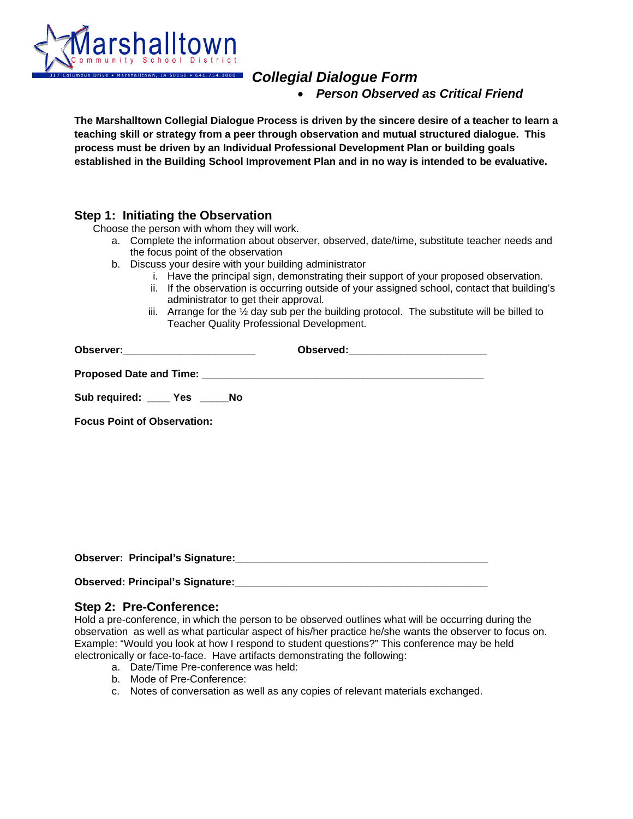

# *Collegial Dialogue Form*

• *Person Observed as Critical Friend* 

**The Marshalltown Collegial Dialogue Process is driven by the sincere desire of a teacher to learn a teaching skill or strategy from a peer through observation and mutual structured dialogue. This process must be driven by an Individual Professional Development Plan or building goals established in the Building School Improvement Plan and in no way is intended to be evaluative.**

# **Step 1: Initiating the Observation**<br>Choose the person with whom they will work.

- a. Complete the information about observer, observed, date/time, substitute teacher needs and the focus point of the observation
- b. Discuss your desire with your building administrator
	- i. Have the principal sign, demonstrating their support of your proposed observation.
	- ii. If the observation is occurring outside of your assigned school, contact that building's administrator to get their approval.
	- iii. Arrange for the  $\frac{1}{2}$  day sub per the building protocol. The substitute will be billed to Teacher Quality Professional Development.

| Observer:__________________________ |  |
|-------------------------------------|--|
|                                     |  |
| Sub required: _____ Yes _____ No    |  |
| <b>Focus Point of Observation:</b>  |  |

Observer: Principal's Signature:

| <b>Observed: Principal's Signature:</b> |  |
|-----------------------------------------|--|
|-----------------------------------------|--|

#### **Step 2: Pre-Conference:**

Hold a pre-conference, in which the person to be observed outlines what will be occurring during the observation as well as what particular aspect of his/her practice he/she wants the observer to focus on. Example: "Would you look at how I respond to student questions?" This conference may be held electronically or face-to-face. Have artifacts demonstrating the following:

- a. Date/Time Pre-conference was held:
- b. Mode of Pre-Conference:
- c. Notes of conversation as well as any copies of relevant materials exchanged.